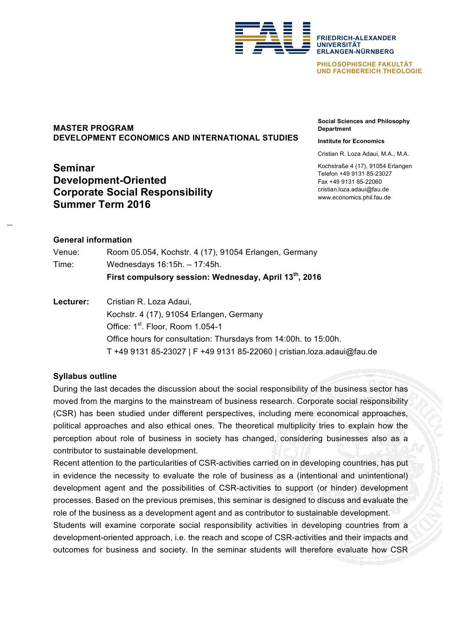

**FRIEDRICH-ALEXANDER UNIVERSITÄT ERLANGEN-NÜRNBERG**

**PHILOSOPHISCHE FAKULTÄT UND FACHBEREICH THEOLOGIE**

# **MASTER PROGRAM DEVELOPMENT ECONOMICS AND INTERNATIONAL STUDIES**

# **Seminar Development-Oriented Corporate Social Responsibility Summer Term 2016**

**Social Sciences and Philosophy Department**

#### **Institute for Economics**

Cristian R. Loza Adaui, M.A., M.A.

Kochstraße 4 (17), 91054 Erlangen Telefon +49 9131 85-23027 Fax +49 9131 85-22060 cristian.loza.adaui@fau.de www.economics.phil.fau.de

### **General information**

|        | First compulsory session: Wednesday, April 13 <sup>th</sup> , 2016 |
|--------|--------------------------------------------------------------------|
| Time:  | Wednesdays 16:15h. - 17:45h.                                       |
| Venue: | Room 05.054, Kochstr. 4 (17), 91054 Erlangen, Germany              |

**Lecturer:** Cristian R. Loza Adaui, Kochstr. 4 (17), 91054 Erlangen, Germany Office: 1<sup>st</sup>. Floor, Room 1.054-1 Office hours for consultation: Thursdays from 14:00h. to 15:00h. T +49 9131 85-23027 | F +49 9131 85-22060 | cristian.loza.adaui@fau.de

# **Syllabus outline**

During the last decades the discussion about the social responsibility of the business sector has moved from the margins to the mainstream of business research. Corporate social responsibility (CSR) has been studied under different perspectives, including mere economical approaches, political approaches and also ethical ones. The theoretical multiplicity tries to explain how the perception about role of business in society has changed, considering businesses also as a contributor to sustainable development.

Recent attention to the particularities of CSR-activities carried on in developing countries, has put in evidence the necessity to evaluate the role of business as a (intentional and unintentional) development agent and the possibilities of CSR-activities to support (or hinder) development processes. Based on the previous premises, this seminar is designed to discuss and evaluate the role of the business as a development agent and as contributor to sustainable development. Students will examine corporate social responsibility activities in developing countries from a development-oriented approach, i.e. the reach and scope of CSR-activities and their impacts and

outcomes for business and society. In the seminar students will therefore evaluate how CSR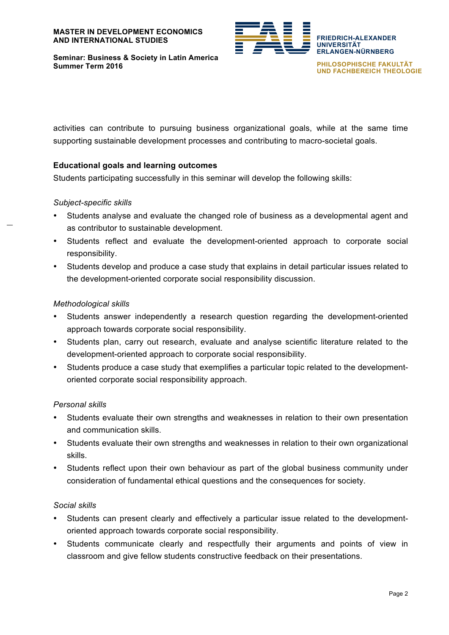

**Seminar: Business & Society in Latin America Summer Term 2016**

**PHILOSOPHISCHE FAKULTÄT UND FACHBEREICH THEOLOGIE**

activities can contribute to pursuing business organizational goals, while at the same time supporting sustainable development processes and contributing to macro-societal goals.

### **Educational goals and learning outcomes**

Students participating successfully in this seminar will develop the following skills:

### *Subject-specific skills*

- Students analyse and evaluate the changed role of business as a developmental agent and as contributor to sustainable development.
- Students reflect and evaluate the development-oriented approach to corporate social responsibility.
- Students develop and produce a case study that explains in detail particular issues related to the development-oriented corporate social responsibility discussion.

### *Methodological skills*

- Students answer independently a research question regarding the development-oriented approach towards corporate social responsibility.
- Students plan, carry out research, evaluate and analyse scientific literature related to the development-oriented approach to corporate social responsibility.
- Students produce a case study that exemplifies a particular topic related to the developmentoriented corporate social responsibility approach.

### *Personal skills*

- Students evaluate their own strengths and weaknesses in relation to their own presentation and communication skills.
- Students evaluate their own strengths and weaknesses in relation to their own organizational skills.
- Students reflect upon their own behaviour as part of the global business community under consideration of fundamental ethical questions and the consequences for society.

### *Social skills*

- Students can present clearly and effectively a particular issue related to the developmentoriented approach towards corporate social responsibility.
- Students communicate clearly and respectfully their arguments and points of view in classroom and give fellow students constructive feedback on their presentations.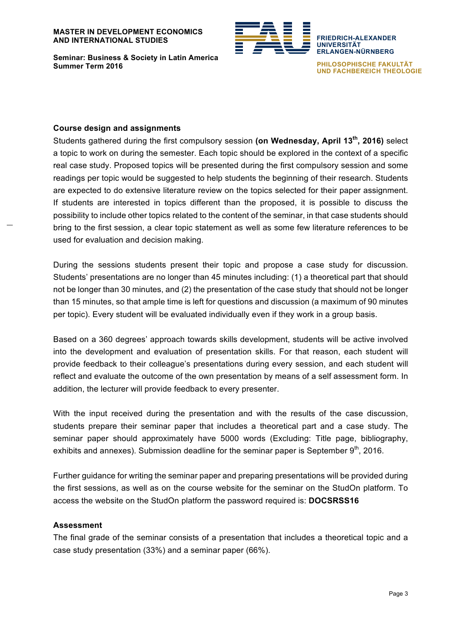#### **MASTER IN DEVELOPMENT ECONOMICS AND INTERNATIONAL STUDIES**



**Seminar: Business & Society in Latin America Summer Term 2016**

**ERLANGEN-NÜRNBERG PHILOSOPHISCHE FAKULTÄT UND FACHBEREICH THEOLOGIE**

**FRIEDRICH-ALEXANDER**

**UNIVERSITÄT**

#### **Course design and assignments**

Students gathered during the first compulsory session **(on Wednesday, April 13th, 2016)** select a topic to work on during the semester. Each topic should be explored in the context of a specific real case study. Proposed topics will be presented during the first compulsory session and some readings per topic would be suggested to help students the beginning of their research. Students are expected to do extensive literature review on the topics selected for their paper assignment. If students are interested in topics different than the proposed, it is possible to discuss the possibility to include other topics related to the content of the seminar, in that case students should bring to the first session, a clear topic statement as well as some few literature references to be used for evaluation and decision making.

During the sessions students present their topic and propose a case study for discussion. Students' presentations are no longer than 45 minutes including: (1) a theoretical part that should not be longer than 30 minutes, and (2) the presentation of the case study that should not be longer than 15 minutes, so that ample time is left for questions and discussion (a maximum of 90 minutes per topic). Every student will be evaluated individually even if they work in a group basis.

Based on a 360 degrees' approach towards skills development, students will be active involved into the development and evaluation of presentation skills. For that reason, each student will provide feedback to their colleague's presentations during every session, and each student will reflect and evaluate the outcome of the own presentation by means of a self assessment form. In addition, the lecturer will provide feedback to every presenter.

With the input received during the presentation and with the results of the case discussion, students prepare their seminar paper that includes a theoretical part and a case study. The seminar paper should approximately have 5000 words (Excluding: Title page, bibliography, exhibits and annexes). Submission deadline for the seminar paper is September  $9<sup>th</sup>$ , 2016.

Further guidance for writing the seminar paper and preparing presentations will be provided during the first sessions, as well as on the course website for the seminar on the StudOn platform. To access the website on the StudOn platform the password required is: **DOCSRSS16**

### **Assessment**

The final grade of the seminar consists of a presentation that includes a theoretical topic and a case study presentation (33%) and a seminar paper (66%).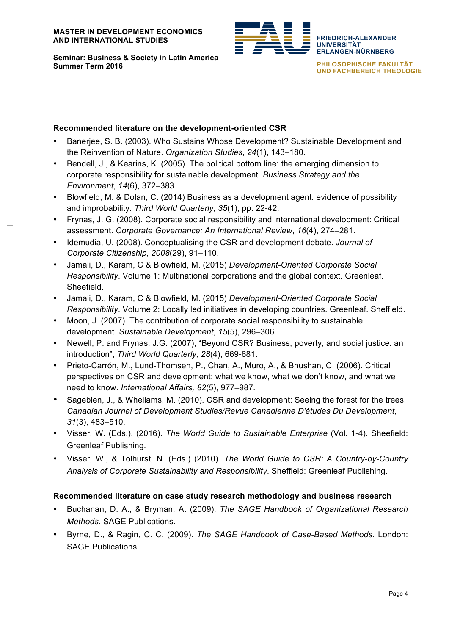

**Seminar: Business & Society in Latin America Summer Term 2016**

**PHILOSOPHISCHE FAKULTÄT UND FACHBEREICH THEOLOGIE**

**FRIEDRICH-ALEXANDER**

**ERLANGEN-NÜRNBERG**

**UNIVERSITÄT**

# **Recommended literature on the development-oriented CSR**

- Banerjee, S. B. (2003). Who Sustains Whose Development? Sustainable Development and the Reinvention of Nature. *Organization Studies*, *24*(1), 143–180.
- Bendell, J., & Kearins, K. (2005). The political bottom line: the emerging dimension to corporate responsibility for sustainable development. *Business Strategy and the Environment*, *14*(6), 372–383.
- Blowfield, M. & Dolan, C. (2014) Business as a development agent: evidence of possibility and improbability. *Third World Quarterly, 35*(1), pp. 22-42.
- Frynas, J. G. (2008). Corporate social responsibility and international development: Critical assessment. *Corporate Governance: An International Review*, *16*(4), 274–281.
- Idemudia, U. (2008). Conceptualising the CSR and development debate. *Journal of Corporate Citizenship*, *2008*(29), 91–110.
- Jamali, D., Karam, C & Blowfield, M. (2015) *Development-Oriented Corporate Social Responsibility*. Volume 1: Multinational corporations and the global context. Greenleaf. Sheefield.
- Jamali, D., Karam, C & Blowfield, M. (2015) *Development-Oriented Corporate Social Responsibility*. Volume 2: Locally led initiatives in developing countries. Greenleaf. Sheffield.
- Moon, J. (2007). The contribution of corporate social responsibility to sustainable development. *Sustainable Development*, *15*(5), 296–306.
- Newell, P. and Frynas, J.G. (2007), "Beyond CSR? Business, poverty, and social justice: an introduction", *Third World Quarterly, 28*(4), 669-681.
- Prieto-Carrón, M., Lund-Thomsen, P., Chan, A., Muro, A., & Bhushan, C. (2006). Critical perspectives on CSR and development: what we know, what we don't know, and what we need to know. *International Affairs, 82*(5), 977–987.
- Sagebien, J., & Whellams, M. (2010). CSR and development: Seeing the forest for the trees. *Canadian Journal of Development Studies/Revue Canadienne D'études Du Development*, *31*(3), 483–510.
- Visser, W. (Eds.). (2016). *The World Guide to Sustainable Enterprise* (Vol. 1-4). Sheefield: Greenleaf Publishing.
- Visser, W., & Tolhurst, N. (Eds.) (2010). *The World Guide to CSR: A Country-by-Country Analysis of Corporate Sustainability and Responsibility*. Sheffield: Greenleaf Publishing.

# **Recommended literature on case study research methodology and business research**

- Buchanan, D. A., & Bryman, A. (2009). *The SAGE Handbook of Organizational Research Methods*. SAGE Publications.
- Byrne, D., & Ragin, C. C. (2009). *The SAGE Handbook of Case-Based Methods*. London: SAGE Publications.